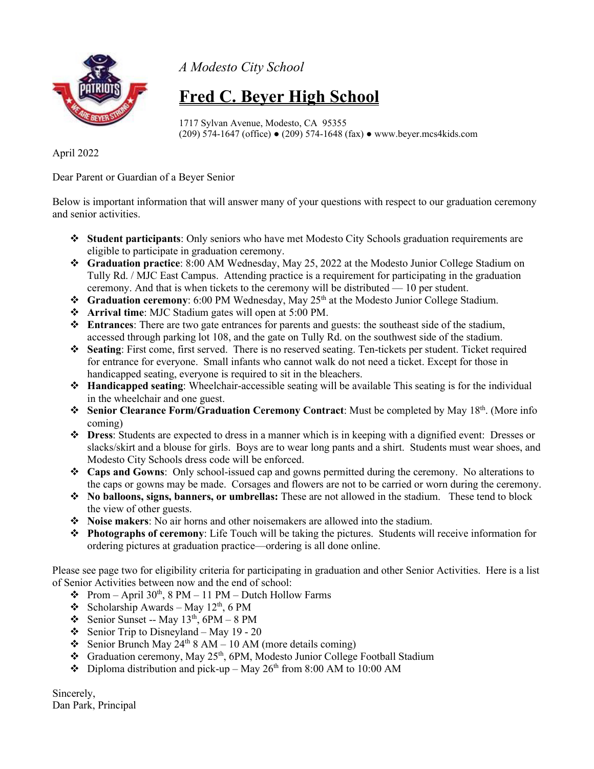

*A Modesto City School*

## **Fred C. Beyer High School**

1717 Sylvan Avenue, Modesto, CA 95355 (209) 574-1647 (office) ● (209) 574-1648 (fax) ● www.beyer.mcs4kids.com

April 2022

Dear Parent or Guardian of a Beyer Senior

Below is important information that will answer many of your questions with respect to our graduation ceremony and senior activities.

- **Student participants**: Only seniors who have met Modesto City Schools graduation requirements are eligible to participate in graduation ceremony.
- **Graduation practice**: 8:00 AM Wednesday, May 25, 2022 at the Modesto Junior College Stadium on Tully Rd. / MJC East Campus. Attending practice is a requirement for participating in the graduation ceremony. And that is when tickets to the ceremony will be distributed — 10 per student.
- **❖** Graduation ceremony: 6:00 PM Wednesday, May 25<sup>th</sup> at the Modesto Junior College Stadium.
- **Arrival time**: MJC Stadium gates will open at 5:00 PM.
- **Entrances**: There are two gate entrances for parents and guests: the southeast side of the stadium, accessed through parking lot 108, and the gate on Tully Rd. on the southwest side of the stadium.
- **Seating**: First come, first served. There is no reserved seating. Ten-tickets per student. Ticket required for entrance for everyone. Small infants who cannot walk do not need a ticket. Except for those in handicapped seating, everyone is required to sit in the bleachers.
- **Handicapped seating**: Wheelchair-accessible seating will be available This seating is for the individual in the wheelchair and one guest.
- **Senior Clearance Form/Graduation Ceremony Contract:** Must be completed by May 18<sup>th</sup>. (More info coming)
- **Dress**: Students are expected to dress in a manner which is in keeping with a dignified event: Dresses or slacks/skirt and a blouse for girls. Boys are to wear long pants and a shirt. Students must wear shoes, and Modesto City Schools dress code will be enforced.
- **Caps and Gowns**: Only school-issued cap and gowns permitted during the ceremony. No alterations to the caps or gowns may be made. Corsages and flowers are not to be carried or worn during the ceremony.
- **No balloons, signs, banners, or umbrellas:** These are not allowed in the stadium. These tend to block the view of other guests.
- **Noise makers**: No air horns and other noisemakers are allowed into the stadium.
- **Photographs of ceremony**: Life Touch will be taking the pictures. Students will receive information for ordering pictures at graduation practice—ordering is all done online.

Please see page two for eligibility criteria for participating in graduation and other Senior Activities. Here is a list of Senior Activities between now and the end of school:

- Prom April 30<sup>th</sup>, 8 PM 11 PM Dutch Hollow Farms
- Scholarship Awards May  $12<sup>th</sup>$ , 6 PM
- Senior Sunset -- May  $13<sup>th</sup>$ , 6PM 8 PM
- Senior Trip to Disneyland May 19 20
- Senior Brunch May  $24^{th}$  8 AM 10 AM (more details coming)
- Graduation ceremony, May 25<sup>th</sup>, 6PM, Modesto Junior College Football Stadium
- $\bullet$  Diploma distribution and pick-up May 26<sup>th</sup> from 8:00 AM to 10:00 AM

Sincerely, Dan Park, Principal